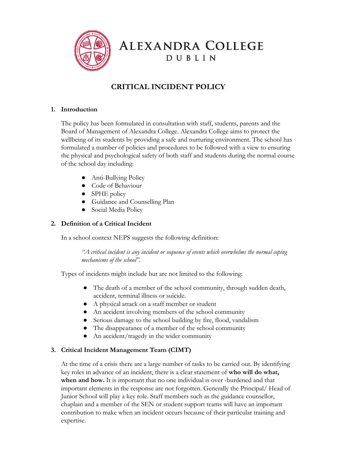

**ALEXANDRA COLLEGE** DUBLIN

# **CRITICAL INCIDENT POLICY**

#### **1. Introduction**

The policy has been formulated in consultation with staff, students, parents and the Board of Management of Alexandra College. Alexandra College aims to protect the wellbeing of its students by providing a safe and nurturing environment. The school has formulated a number of policies and procedures to be followed with a view to ensuring the physical and psychological safety of both staff and students during the normal course of the school day including:

- Anti-Bullying Policy
- Code of Behaviour
- SPHE policy
- Guidance and Counselling Plan
- Social Media Policy

#### **2. Definition of a Critical Incident**

In a school context NEPS suggests the following definition:

*"A critical incident is any incident or sequence of events which overwhelms the normal coping mechanisms of the school".*

Types of incidents might include but are not limited to the following:

- The death of a member of the school community, through sudden death, accident, terminal illness or suicide.
- A physical attack on a staff member or student
- An accident involving members of the school community
- Serious damage to the school building by fire, flood, vandalism
- The disappearance of a member of the school community
- An accident/tragedy in the wider community

#### **3. Critical Incident Management Team (CIMT)**

At the time of a crisis there are a large number of tasks to be carried out. By identifying key roles in advance of an incident, there is a clear statement of **who will do what,** when and how. It is important that no one individual is over -burdened and that important elements in the response are not forgotten. Generally the Principal/ Head of Junior School will play a key role. Staff members such as the guidance counsellor, chaplain and a member of the SEN or student support teams will have an important contribution to make when an incident occurs because of their particular training and expertise.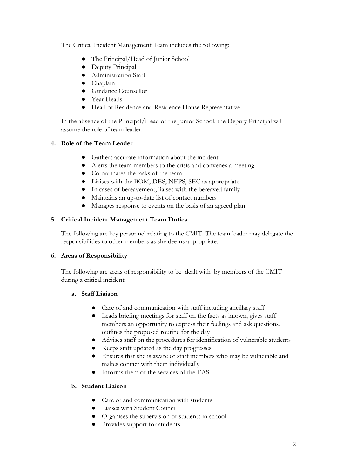The Critical Incident Management Team includes the following:

- The Principal/Head of Junior School
- Deputy Principal
- Administration Staff
- Chaplain
- Guidance Counsellor
- Year Heads
- Head of Residence and Residence House Representative

In the absence of the Principal/Head of the Junior School, the Deputy Principal will assume the role of team leader.

#### **4. Role of the Team Leader**

- **●** Gathers accurate information about the incident
- **●** Alerts the team members to the crisis and convenes a meeting
- Co-ordinates the tasks of the team
- Liaises with the BOM, DES, NEPS, SEC as appropriate
- In cases of bereavement, liaises with the bereaved family
- Maintains an up-to-date list of contact numbers
- Manages response to events on the basis of an agreed plan

#### **5. Critical Incident Management Team Duties**

The following are key personnel relating to the CMIT. The team leader may delegate the responsibilities to other members as she deems appropriate.

#### **6. Areas of Responsibility**

The following are areas of responsibility to be dealt with by members of the CMIT during a critical incident:

#### **a. Staff Liaison**

- Care of and communication with staff including ancillary staff
- Leads briefing meetings for staff on the facts as known, gives staff members an opportunity to express their feelings and ask questions, outlines the proposed routine for the day
- **●** Advises staff on the procedures for identification of vulnerable students
- Keeps staff updated as the day progresses
- Ensures that she is aware of staff members who may be vulnerable and makes contact with them individually
- Informs them of the services of the EAS

#### **b. Student Liaison**

- Care of and communication with students
- Liaises with Student Council
- Organises the supervision of students in school
- Provides support for students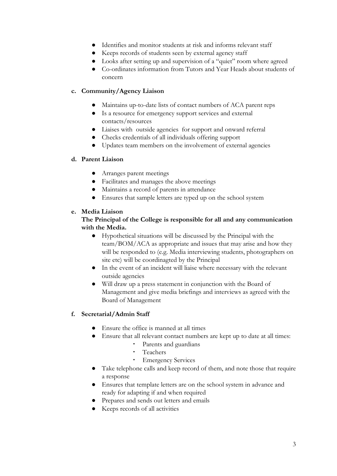- Identifies and monitor students at risk and informs relevant staff
- Keeps records of students seen by external agency staff
- Looks after setting up and supervision of a "quiet" room where agreed
- Co-ordinates information from Tutors and Year Heads about students of concern

#### **c. Community/Agency Liaison**

- Maintains up-to-date lists of contact numbers of ACA parent reps
- Is a resource for emergency support services and external contacts/resources
- Liaises with outside agencies for support and onward referral
- Checks credentials of all individuals offering support
- Updates team members on the involvement of external agencies

#### **d. Parent Liaison**

- Arranges parent meetings
- Facilitates and manages the above meetings
- Maintains a record of parents in attendance
- Ensures that sample letters are typed up on the school system

#### **e. Media Liaison**

#### **The Principal of the College is responsible for all and any communication with the Media.**

- **●** Hypothetical situations will be discussed by the Principal with the team/BOM/ACA as appropriate and issues that may arise and how they will be responded to (e.g. Media interviewing students, photographers on site etc) will be coordinagted by the Principal
- **●** In the event of an incident will liaise where necessary with the relevant outside agencies
- **●** Will draw up a press statement in conjunction with the Board of Management and give media briefings and interviews as agreed with the Board of Management

#### **f. Secretarial/Admin Staff**

- Ensure the office is manned at all times
- Ensure that all relevant contact numbers are kept up to date at all times:
	- Parents and guardians
	- Teachers
	- Emergency Services
- Take telephone calls and keep record of them, and note those that require a response
- Ensures that template letters are on the school system in advance and ready for adapting if and when required
- Prepares and sends out letters and emails
- Keeps records of all activities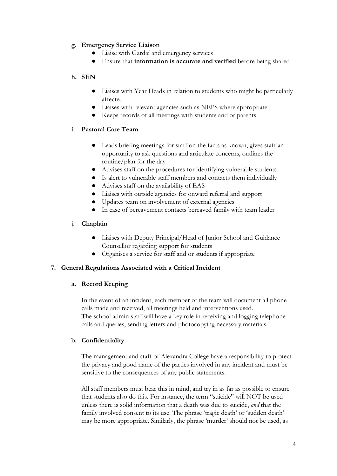#### **g. Emergency Service Liaison**

- Liaise with Gardaí and emergency services
- Ensure that **information is accurate and verified** before being shared

#### **h. SEN**

- **●** Liaises with Year Heads in relation to students who might be particularly affected
- **●** Liaises with relevant agencies such as NEPS where appropriate
- **●** Keeps records of all meetings with students and or parents

#### **i. Pastoral Care Team**

- **●** Leads briefing meetings for staff on the facts as known, gives staff an opportunity to ask questions and articulate concerns, outlines the routine/plan for the day
- **●** Advises staff on the procedures for identifying vulnerable students
- **●** Is alert to vulnerable staff members and contacts them individually
- Advises staff on the availability of EAS
- Liaises with outside agencies for onward referral and support
- Updates team on involvement of external agencies
- In case of bereavement contacts bereaved family with team leader

#### **j. Chaplain**

- **●** Liaises with Deputy Principal/Head of Junior School and Guidance Counsellor regarding support for students
- **●** Organises a service for staff and or students if appropriate

#### **7. General Regulations Associated with a Critical Incident**

#### **a. Record Keeping**

In the event of an incident, each member of the team will document all phone calls made and received, all meetings held and interventions used. The school admin staff will have a key role in receiving and logging telephone calls and queries, sending letters and photocopying necessary materials.

#### **b. Confidentiality**

The management and staff of Alexandra College have a responsibility to protect the privacy and good name of the parties involved in any incident and must be sensitive to the consequences of any public statements.

All staff members must bear this in mind, and try in as far as possible to ensure that students also do this. For instance, the term "suicide" will NOT be used unless there is solid information that a death was due to suicide, *and* that the family involved consent to its use. The phrase 'tragic death' or 'sudden death' may be more appropriate. Similarly, the phrase 'murder' should not be used, as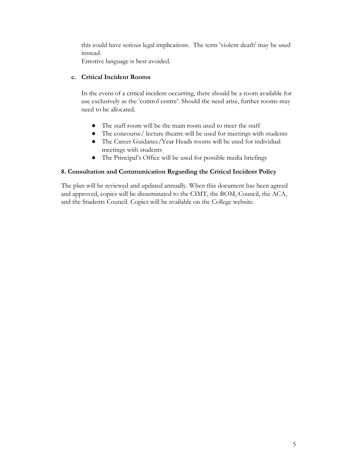this could have serious legal implications. The term 'violent death' may be used instead.

Emotive language is best avoided.

#### **c. Critical Incident Rooms**

In the event of a critical incident occurring, there should be a room available for use exclusively as the 'control centre'. Should the need arise, further rooms may need to be allocated.

- The staff room will be the main room used to meet the staff
- The concourse/ lecture theatre will be used for meetings with students
- The Career Guidance/Year Heads rooms will be used for individual meetings with students
- The Principal's Office will be used for possible media briefings

#### **8. Consultation and Communication Regarding the Critical Incident Policy**

The plan will be reviewed and updated annually. When this document has been agreed and approved, copies will be disseminated to the CIMT, the BOM, Council, the ACA, and the Students Council. Copies will be available on the College website.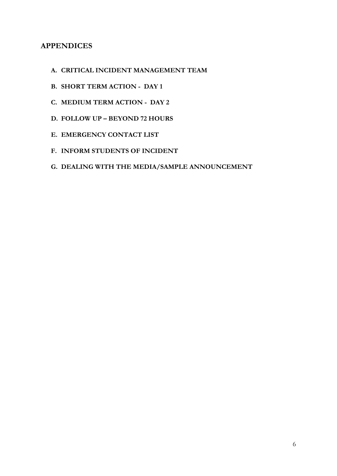# **APPENDICES**

- **A. CRITICAL INCIDENT MANAGEMENT TEAM**
- **B. SHORT TERM ACTION DAY 1**
- **C. MEDIUM TERM ACTION DAY 2**
- **D. FOLLOW UP BEYOND 72 HOURS**
- **E. EMERGENCY CONTACT LIST**
- **F. INFORM STUDENTS OF INCIDENT**
- **G. DEALING WITH THE MEDIA/SAMPLE ANNOUNCEMENT**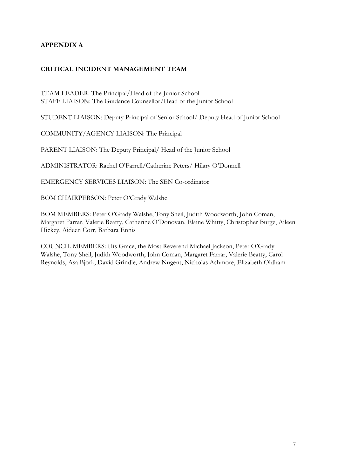### **APPENDIX A**

#### **CRITICAL INCIDENT MANAGEMENT TEAM**

TEAM LEADER: The Principal/Head of the Junior School STAFF LIAISON: The Guidance Counsellor/Head of the Junior School

STUDENT LIAISON: Deputy Principal of Senior School/ Deputy Head of Junior School

COMMUNITY/AGENCY LIAISON: The Principal

PARENT LIAISON: The Deputy Principal/ Head of the Junior School

ADMINISTRATOR: Rachel O'Farrell/Catherine Peters/ Hilary O'Donnell

EMERGENCY SERVICES LIAISON: The SEN Co-ordinator

BOM CHAIRPERSON: Peter O'Grady Walshe

BOM MEMBERS: Peter O'Grady Walshe, Tony Sheil, Judith Woodworth, John Coman, Margaret Farrar, Valerie Beatty, Catherine O'Donovan, Elaine Whitty, Christopher Burge, Aileen Hickey, Aideen Corr, Barbara Ennis

COUNCIL MEMBERS: His Grace, the Most Reverend Michael Jackson, Peter O'Grady Walshe, Tony Sheil, Judith Woodworth, John Coman, Margaret Farrar, Valerie Beatty, Carol Reynolds, Asa Bjork, David Grindle, Andrew Nugent, Nicholas Ashmore, Elizabeth Oldham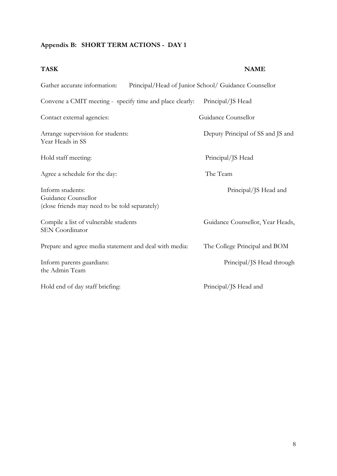#### **Appendix B: SHORT TERM ACTIONS - DAY 1**

# **TASK NAME** Gather accurate information: Principal/Head of Junior School/ Guidance Counsellor Convene a CMIT meeting - specify time and place clearly: Principal/JS Head Contact external agencies: Guidance Counsellor Arrange supervision for students: Deputy Principal of SS and JS and Year Heads in SS Hold staff meeting: Principal/JS Head Agree a schedule for the day: The Team Inform students: Principal/JS Head and Guidance Counsellor (close friends may need to be told separately) Compile a list of vulnerable students Guidance Counsellor, Year Heads, SEN Coordinator Prepare and agree media statement and deal with media: The College Principal and BOM Inform parents guardians: Principal/JS Head through the Admin Team Hold end of day staff briefing: Principal/JS Head and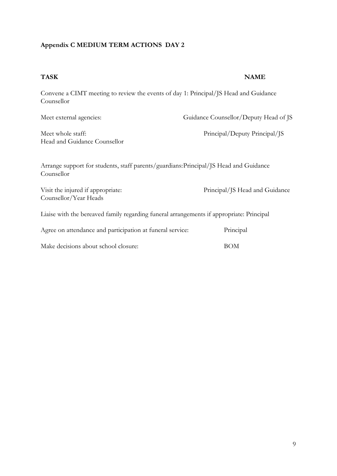# **Appendix C MEDIUM TERM ACTIONS DAY 2**

| <b>TASK</b>                                                                                         | <b>NAME</b>                           |  |  |  |
|-----------------------------------------------------------------------------------------------------|---------------------------------------|--|--|--|
| Convene a CIMT meeting to review the events of day 1: Principal/JS Head and Guidance<br>Counsellor  |                                       |  |  |  |
| Meet external agencies:                                                                             | Guidance Counsellor/Deputy Head of JS |  |  |  |
| Meet whole staff:<br>Head and Guidance Counsellor                                                   | Principal/Deputy Principal/JS         |  |  |  |
| Arrange support for students, staff parents/guardians: Principal/JS Head and Guidance<br>Counsellor |                                       |  |  |  |
| Visit the injured if appropriate:<br>Counsellor/Year Heads                                          | Principal/JS Head and Guidance        |  |  |  |
| Liaise with the bereaved family regarding funeral arrangements if appropriate: Principal            |                                       |  |  |  |
| Agree on attendance and participation at funeral service:                                           | Principal                             |  |  |  |
| Make decisions about school closure:                                                                | <b>BOM</b>                            |  |  |  |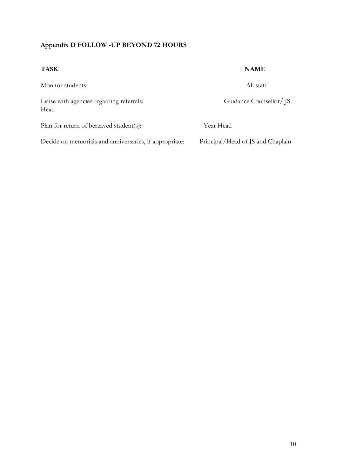# **Appendix D FOLLOW -UP BEYOND 72 HOURS**

| <b>TASK</b>                                            | <b>NAME</b>                       |
|--------------------------------------------------------|-----------------------------------|
| Monitor students:                                      | All staff                         |
| Liaise with agencies regarding referrals:<br>Head      | Guidance Counsellor/ JS           |
| Plan for return of bereaved student(s):                | Year Head                         |
| Decide on memorials and anniversaries, if appropriate: | Principal/Head of JS and Chaplain |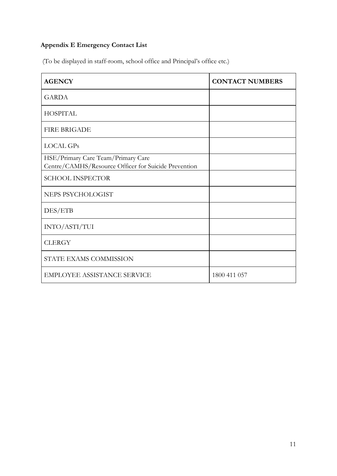# **Appendix E Emergency Contact List**

(To be displayed in staff-room, school office and Principal's office etc.)

| <b>AGENCY</b>                                                                              | <b>CONTACT NUMBERS</b> |
|--------------------------------------------------------------------------------------------|------------------------|
| <b>GARDA</b>                                                                               |                        |
| <b>HOSPITAL</b>                                                                            |                        |
| <b>FIRE BRIGADE</b>                                                                        |                        |
| <b>LOCAL GPs</b>                                                                           |                        |
| HSE/Primary Care Team/Primary Care<br>Centre/CAMHS/Resource Officer for Suicide Prevention |                        |
| <b>SCHOOL INSPECTOR</b>                                                                    |                        |
| NEPS PSYCHOLOGIST                                                                          |                        |
| DES/ETB                                                                                    |                        |
| INTO/ASTI/TUI                                                                              |                        |
| <b>CLERGY</b>                                                                              |                        |
| STATE EXAMS COMMISSION                                                                     |                        |
| <b>EMPLOYEE ASSISTANCE SERVICE</b>                                                         | 1800 411 057           |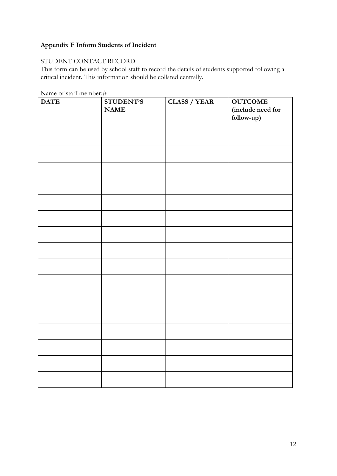# **Appendix F Inform Students of Incident**

### STUDENT CONTACT RECORD

This form can be used by school staff to record the details of students supported following a critical incident. This information should be collated centrally.

| <b>DATE</b> | <b>STUDENT'S</b> | <b>CLASS / YEAR</b> | <b>OUTCOME</b>    |
|-------------|------------------|---------------------|-------------------|
|             | <b>NAME</b>      |                     | (include need for |
|             |                  |                     | follow-up)        |
|             |                  |                     |                   |
|             |                  |                     |                   |
|             |                  |                     |                   |
|             |                  |                     |                   |
|             |                  |                     |                   |
|             |                  |                     |                   |
|             |                  |                     |                   |
|             |                  |                     |                   |
|             |                  |                     |                   |
|             |                  |                     |                   |
|             |                  |                     |                   |
|             |                  |                     |                   |
|             |                  |                     |                   |
|             |                  |                     |                   |
|             |                  |                     |                   |
|             |                  |                     |                   |
|             |                  |                     |                   |
|             |                  |                     |                   |
|             |                  |                     |                   |
|             |                  |                     |                   |
|             |                  |                     |                   |
|             |                  |                     |                   |
|             |                  |                     |                   |
|             |                  |                     |                   |
|             |                  |                     |                   |
|             |                  |                     |                   |
|             |                  |                     |                   |
|             |                  |                     |                   |
|             |                  |                     |                   |
|             |                  |                     |                   |
|             |                  |                     |                   |
|             |                  |                     |                   |

Name of staff member:#